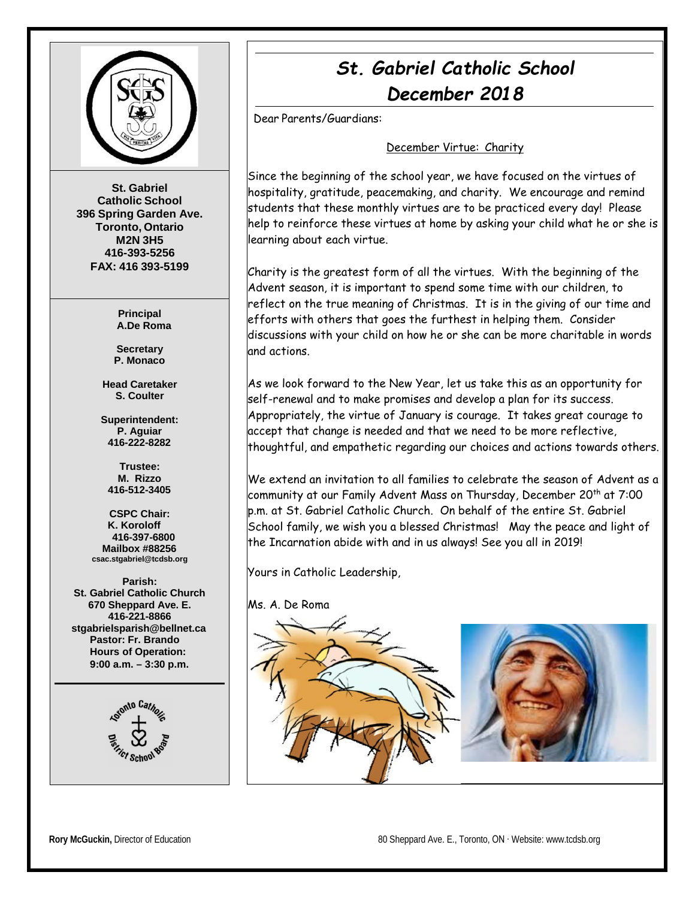

**St. Gabriel Catholic School 396 Spring Garden Ave. Toronto, Ontario M2N 3H5 416-393-5256 FAX: 416 393-5199**

> **Principal A.De Roma**

**Secretary P. Monaco**

**Head Caretaker S. Coulter**

**Superintendent: P. Aguiar 416-222-8282**

**Trustee: M. Rizzo 416-512-3405**

**CSPC Chair: K. Koroloff 416-397-6800 Mailbox #88256 [csac.stgabriel@tcdsb.org](mailto:csac.stgabriel@tcdsb.org)**

**Parish: St. Gabriel Catholic Church 670 Sheppard Ave. E. 416-221-8866 [stgabrielsparish@bellnet.ca](mailto:stgabrielsparish@bellnet.ca) Pastor: Fr. Brando Hours of Operation: 9:00 a.m. – 3:30 p.m.**



# *St. Gabriel Catholic School December 2018*

Dear Parents/Guardians:

# December Virtue: Charity

Since the beginning of the school year, we have focused on the virtues of hospitality, gratitude, peacemaking, and charity. We encourage and remind students that these monthly virtues are to be practiced every day! Please help to reinforce these virtues at home by asking your child what he or she is learning about each virtue.

Charity is the greatest form of all the virtues. With the beginning of the Advent season, it is important to spend some time with our children, to reflect on the true meaning of Christmas. It is in the giving of our time and efforts with others that goes the furthest in helping them. Consider discussions with your child on how he or she can be more charitable in words and actions.

As we look forward to the New Year, let us take this as an opportunity for self-renewal and to make promises and develop a plan for its success. Appropriately, the virtue of January is courage. It takes great courage to accept that change is needed and that we need to be more reflective, thoughtful, and empathetic regarding our choices and actions towards others.

We extend an invitation to all families to celebrate the season of Advent as a community at our Family Advent Mass on Thursday, December 20th at 7:00 p.m. at St. Gabriel Catholic Church. On behalf of the entire St. Gabriel School family, we wish you a blessed Christmas! May the peace and light of the Incarnation abide with and in us always! See you all in 2019!

Yours in Catholic Leadership,

Ms. A. De Roma

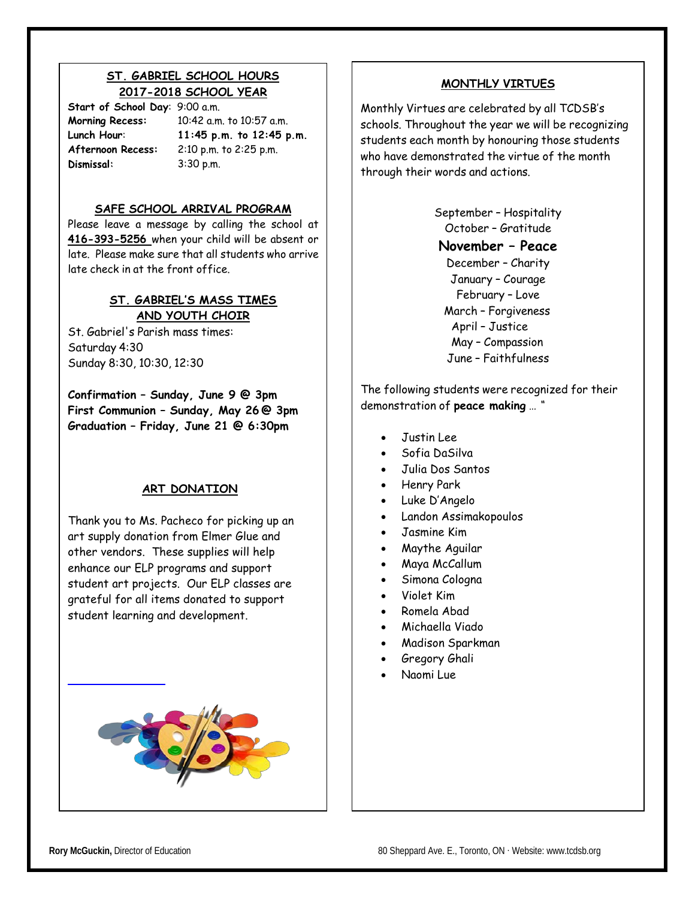# **ST. GABRIEL SCHOOL HOURS 2017-2018 SCHOOL YEAR**

**Start of School Day**: 9:00 a.m. Dismissal:

**Morning Recess:** 10:42 a.m. to 10:57 a.m. **Lunch Hour**: **11:45 p.m. to 12:45 p.m. Afternoon Recess:** 2:10 p.m. to 2:25 p.m. 3:30 p.m.

# **SAFE SCHOOL ARRIVAL PROGRAM**

Please leave a message by calling the school at **416-393-5256** when your child will be absent or late. Please make sure that all students who arrive late check in at the front office.

# **ST. GABRIEL'S MASS TIMES AND YOUTH CHOIR**

St. Gabriel's Parish mass times: Saturday 4:30 Sunday 8:30, 10:30, 12:30

**Confirmation – Sunday, June 9 @ 3pm First Communion – Sunday, May 26 @ 3pm Graduation – Friday, June 21 @ 6:30pm**

# **ART DONATION**

Thank you to Ms. Pacheco for picking up an art supply donation from Elmer Glue and other vendors. These supplies will help enhance our ELP programs and support student art projects. Our ELP classes are grateful for all items donated to support student learning and development.



# **MONTHLY VIRTUES**

Monthly Virtues are celebrated by all TCDSB's schools. Throughout the year we will be recognizing students each month by honouring those students who have demonstrated the virtue of the month through their words and actions.

> September – Hospitality October – Gratitude **November – Peace** December – Charity January – Courage February – Love March – Forgiveness April – Justice May – Compassion June – Faithfulness

The following students were recognized for their demonstration of **peace making** … *"*

- Justin Lee
- Sofia DaSilva
- Julia Dos Santos
- Henry Park
- Luke D'Angelo
- Landon Assimakopoulos
- Jasmine Kim
- Maythe Aguilar
- Maya McCallum
- Simona Cologna
- Violet Kim
- Romela Abad
- Michaella Viado
- Madison Sparkman
- Gregory Ghali
- Naomi Lue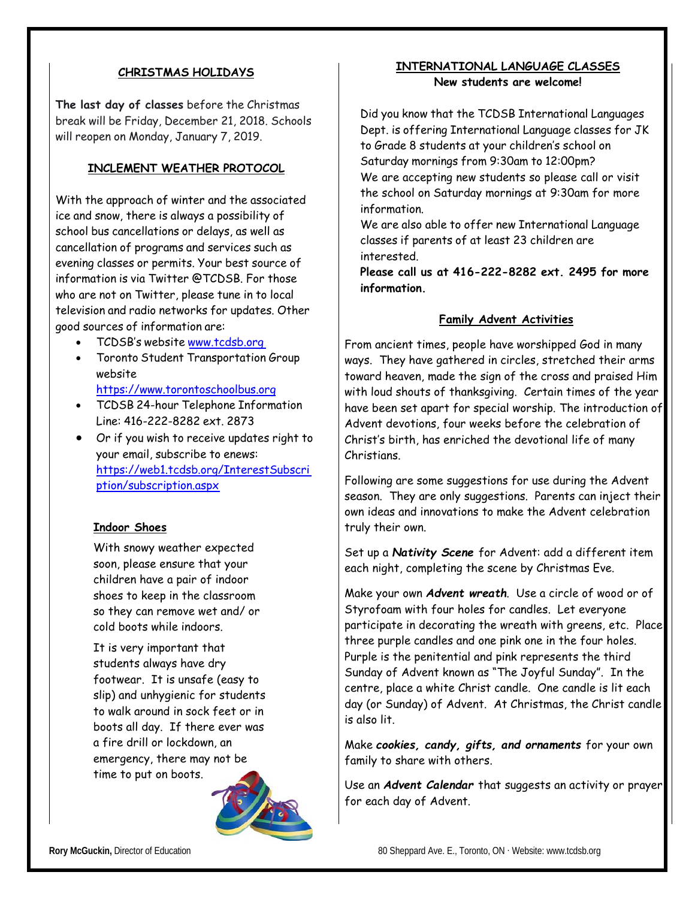# **CHRISTMAS HOLIDAYS**

**The last day of classes** before the Christmas break will be Friday, December 21, 2018. Schools will reopen on Monday, January 7, 2019.

# **INCLEMENT WEATHER PROTOCOL**

With the approach of winter and the associated ice and snow, there is always a possibility of school bus cancellations or delays, as well as cancellation of programs and services such as evening classes or permits. Your best source of information is via Twitter @TCDSB. For those who are not on Twitter, please tune in to local television and radio networks for updates. Other good sources of information are:

- TCDSB's website [www.tcdsb.org](http://www.tcdsb.org/)
- Toronto Student Transportation Group website

[https://www.torontoschoolbus.org](https://www.torontoschoolbus.org/)

- TCDSB 24-hour Telephone Information Line: 416-222-8282 ext. 2873
- Or if you wish to receive updates right to your email, subscribe to enews: [https://web1.tcdsb.org/InterestSubscri](https://web1.tcdsb.org/InterestSubscription/subscription.aspx) [ption/subscription.aspx](https://web1.tcdsb.org/InterestSubscription/subscription.aspx)

#### **Indoor Shoes**

With snowy weather expected soon, please ensure that your children have a pair of indoor shoes to keep in the classroom so they can remove wet and/ or cold boots while indoors.

It is very important that students always have dry footwear. It is unsafe (easy to slip) and unhygienic for students to walk around in sock feet or in boots all day. If there ever was a fire drill or lockdown, an emergency, there may not be time to put on boots.



# **INTERNATIONAL LANGUAGE CLASSES New students are welcome!**

Did you know that the TCDSB International Languages Dept. is offering International Language classes for JK to Grade 8 students at your children's school on Saturday mornings from 9:30am to 12:00pm? We are accepting new students so please call or visit the school on Saturday mornings at 9:30am for more information.

We are also able to offer new International Language classes if parents of at least 23 children are interested.

**Please call us at 416-222-8282 ext. 2495 for more information.**

#### **Family Advent Activities**

From ancient times, people have worshipped God in many ways. They have gathered in circles, stretched their arms toward heaven, made the sign of the cross and praised Him with loud shouts of thanksgiving. Certain times of the year have been set apart for special worship. The introduction of Advent devotions, four weeks before the celebration of Christ's birth, has enriched the devotional life of many Christians.

Following are some suggestions for use during the Advent season. They are only suggestions. Parents can inject their own ideas and innovations to make the Advent celebration truly their own.

Set up a *Nativity Scene* for Advent: add a different item each night, completing the scene by Christmas Eve.

Make your own *Advent wreath*. Use a circle of wood or of Styrofoam with four holes for candles. Let everyone participate in decorating the wreath with greens, etc. Place three purple candles and one pink one in the four holes. Purple is the penitential and pink represents the third Sunday of Advent known as "The Joyful Sunday". In the centre, place a white Christ candle. One candle is lit each day (or Sunday) of Advent. At Christmas, the Christ candle is also lit.

Make *cookies, candy, gifts, and ornaments* for your own family to share with others.

Use an *Advent Calendar* that suggests an activity or prayer for each day of Advent.

**Rory McGuckin,** Director of Education 80 Sheppard Ave. E., Toronto, ON ⋅ Website: [www.tcdsb.org](http://www.tcdsb.org/)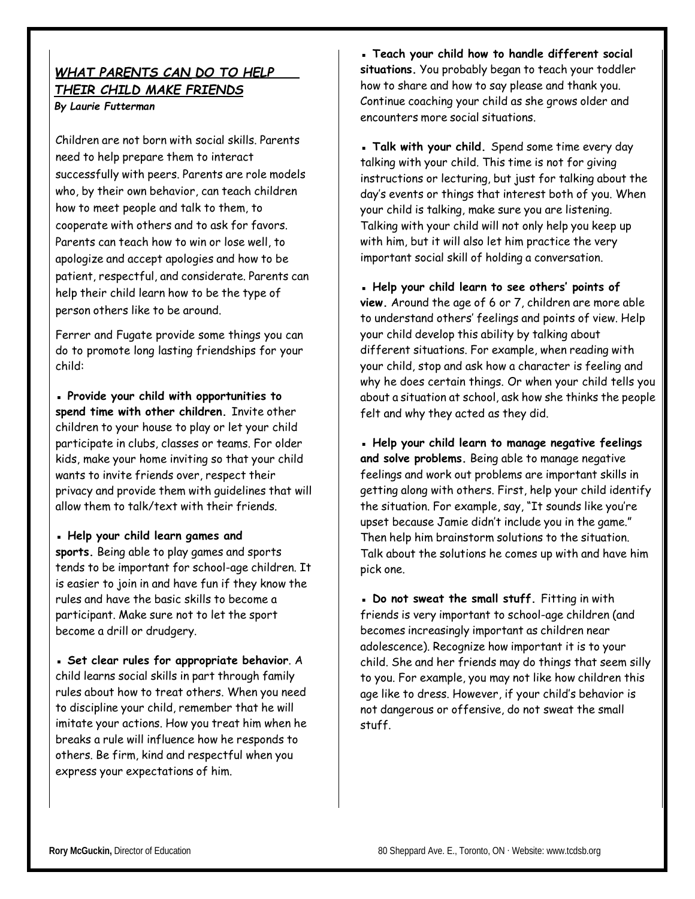# *WHAT PARENTS CAN DO TO HELP THEIR CHILD MAKE FRIENDS By Laurie Futterman*

Children are not born with social skills. Parents need to help prepare them to interact successfully with peers. Parents are role models who, by their own behavior, can teach children how to meet people and talk to them, to cooperate with others and to ask for favors. Parents can teach how to win or lose well, to apologize and accept apologies and how to be patient, respectful, and considerate. Parents can help their child learn how to be the type of person others like to be around.

Ferrer and Fugate provide some things you can do to promote long lasting friendships for your child:

**▪ Provide your child with opportunities to spend time with other children.** Invite other children to your house to play or let your child participate in clubs, classes or teams. For older kids, make your home inviting so that your child wants to invite friends over, respect their privacy and provide them with guidelines that will allow them to talk/text with their friends.

**▪ Help your child learn games and**

**sports.** Being able to play games and sports tends to be important for school-age children. It is easier to join in and have fun if they know the rules and have the basic skills to become a participant. Make sure not to let the sport become a drill or drudgery.

**▪ Set clear rules for appropriate behavior**. A child learns social skills in part through family rules about how to treat others. When you need to discipline your child, remember that he will imitate your actions. How you treat him when he breaks a rule will influence how he responds to others. Be firm, kind and respectful when you express your expectations of him.

**▪ Teach your child how to handle different social situations.** You probably began to teach your toddler how to share and how to say please and thank you. Continue coaching your child as she grows older and encounters more social situations.

**▪ Talk with your child.** Spend some time every day talking with your child. This time is not for giving instructions or lecturing, but just for talking about the day's events or things that interest both of you. When your child is talking, make sure you are listening. Talking with your child will not only help you keep up with him, but it will also let him practice the very important social skill of holding a conversation.

**▪ Help your child learn to see others' points of view.** Around the age of 6 or 7, children are more able to understand others' feelings and points of view. Help your child develop this ability by talking about different situations. For example, when reading with your child, stop and ask how a character is feeling and why he does certain things. Or when your child tells you about a situation at school, ask how she thinks the people felt and why they acted as they did.

**▪ Help your child learn to manage negative feelings and solve problems.** Being able to manage negative feelings and work out problems are important skills in getting along with others. First, help your child identify the situation. For example, say, "It sounds like you're upset because Jamie didn't include you in the game." Then help him brainstorm solutions to the situation. Talk about the solutions he comes up with and have him pick one.

**▪ Do not sweat the small stuff.** Fitting in with friends is very important to school-age children (and becomes increasingly important as children near adolescence). Recognize how important it is to your child. She and her friends may do things that seem silly to you. For example, you may not like how children this age like to dress. However, if your child's behavior is not dangerous or offensive, do not sweat the small stuff.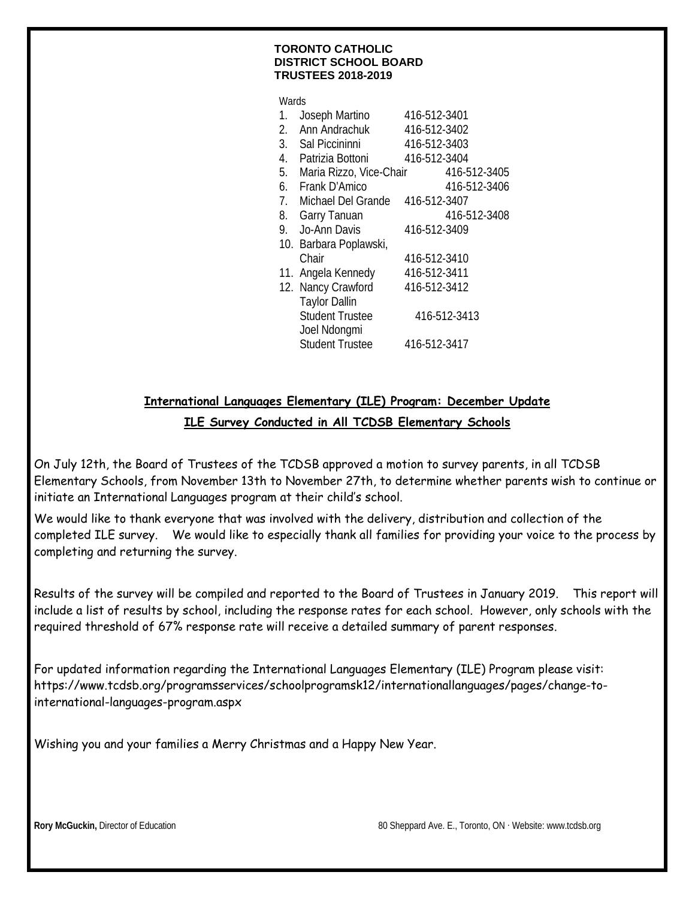#### **TORONTO CATHOLIC DISTRICT SCHOOL BOARD TRUSTEES 2018-2019**

| Wards |                            |              |              |
|-------|----------------------------|--------------|--------------|
| 1.    | Joseph Martino             | 416-512-3401 |              |
| 2.    | Ann Andrachuk              | 416-512-3402 |              |
|       | 3. Sal Piccininni          | 416-512-3403 |              |
|       | 4. Patrizia Bottoni        | 416-512-3404 |              |
|       | 5. Maria Rizzo, Vice-Chair |              | 416-512-3405 |
|       | 6. Frank D'Amico           |              | 416-512-3406 |
|       | 7. Michael Del Grande      | 416-512-3407 |              |
|       | 8. Garry Tanuan            |              | 416-512-3408 |
|       | 9. Jo-Ann Davis            | 416-512-3409 |              |
|       | 10. Barbara Poplawski,     |              |              |
|       | Chair                      | 416-512-3410 |              |
|       | 11. Angela Kennedy         | 416-512-3411 |              |
|       | 12. Nancy Crawford         | 416-512-3412 |              |
|       | <b>Taylor Dallin</b>       |              |              |
|       | <b>Student Trustee</b>     |              | 416-512-3413 |
|       | Joel Ndongmi               |              |              |
|       | <b>Student Trustee</b>     | 416-512-3417 |              |

# **International Languages Elementary (ILE) Program: December Update ILE Survey Conducted in All TCDSB Elementary Schools**

On July 12th, the Board of Trustees of the TCDSB approved a motion to survey parents, in all TCDSB Elementary Schools, from November 13th to November 27th, to determine whether parents wish to continue or initiate an International Languages program at their child's school.

We would like to thank everyone that was involved with the delivery, distribution and collection of the completed ILE survey. We would like to especially thank all families for providing your voice to the process by completing and returning the survey.

Results of the survey will be compiled and reported to the Board of Trustees in January 2019. This report will include a list of results by school, including the response rates for each school. However, only schools with the required threshold of 67% response rate will receive a detailed summary of parent responses.

For updated information regarding the International Languages Elementary (ILE) Program please visit: https://www.tcdsb.org/programsservices/schoolprogramsk12/internationallanguages/pages/change-tointernational-languages-program.aspx

Wishing you and your families a Merry Christmas and a Happy New Year.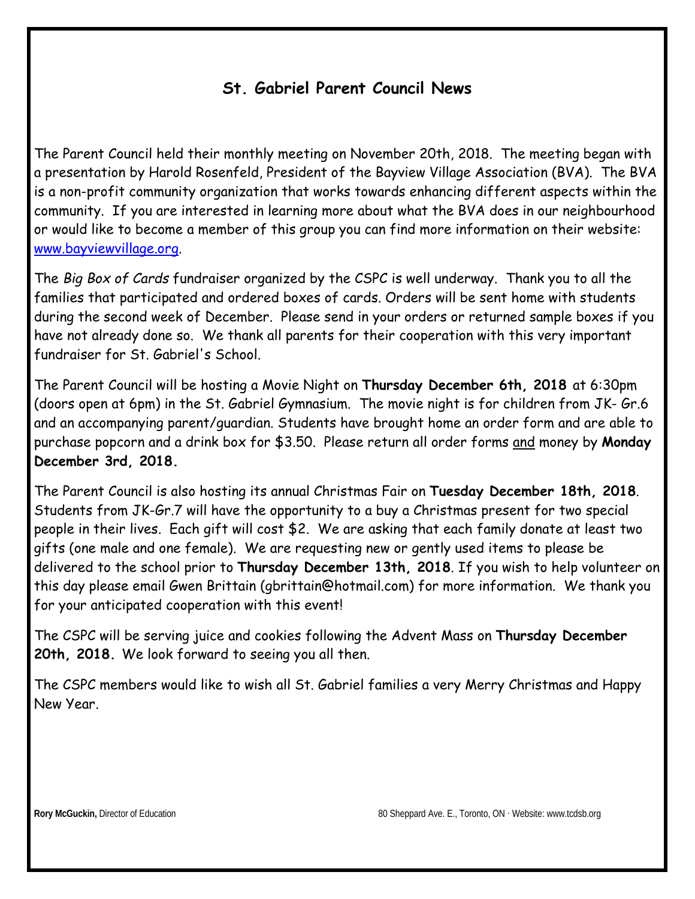# **St. Gabriel Parent Council News**

The Parent Council held their monthly meeting on November 20th, 2018. The meeting began with a presentation by Harold Rosenfeld, President of the Bayview Village Association (BVA). The BVA is a non-profit community organization that works towards enhancing different aspects within the community. If you are interested in learning more about what the BVA does in our neighbourhood or would like to become a member of this group you can find more information on their website: www.bayviewvillage.org.

The *Big Box of Cards* fundraiser organized by the CSPC is well underway. Thank you to all the families that participated and ordered boxes of cards. Orders will be sent home with students during the second week of December. Please send in your orders or returned sample boxes if you have not already done so. We thank all parents for their cooperation with this very important fundraiser for St. Gabriel's School.

The Parent Council will be hosting a Movie Night on **Thursday December 6th, 2018** at 6:30pm (doors open at 6pm) in the St. Gabriel Gymnasium. The movie night is for children from JK- Gr.6 and an accompanying parent/guardian. Students have brought home an order form and are able to purchase popcorn and a drink box for \$3.50. Please return all order forms and money by **Monday December 3rd, 2018.**

The Parent Council is also hosting its annual Christmas Fair on **Tuesday December 18th, 2018**. Students from JK-Gr.7 will have the opportunity to a buy a Christmas present for two special people in their lives. Each gift will cost \$2. We are asking that each family donate at least two gifts (one male and one female). We are requesting new or gently used items to please be delivered to the school prior to **Thursday December 13th, 2018**. If you wish to help volunteer on this day please email Gwen Brittain (gbrittain@hotmail.com) for more information. We thank you for your anticipated cooperation with this event!

The CSPC will be serving juice and cookies following the Advent Mass on **Thursday December 20th, 2018.** We look forward to seeing you all then.

The CSPC members would like to wish all St. Gabriel families a very Merry Christmas and Happy New Year.